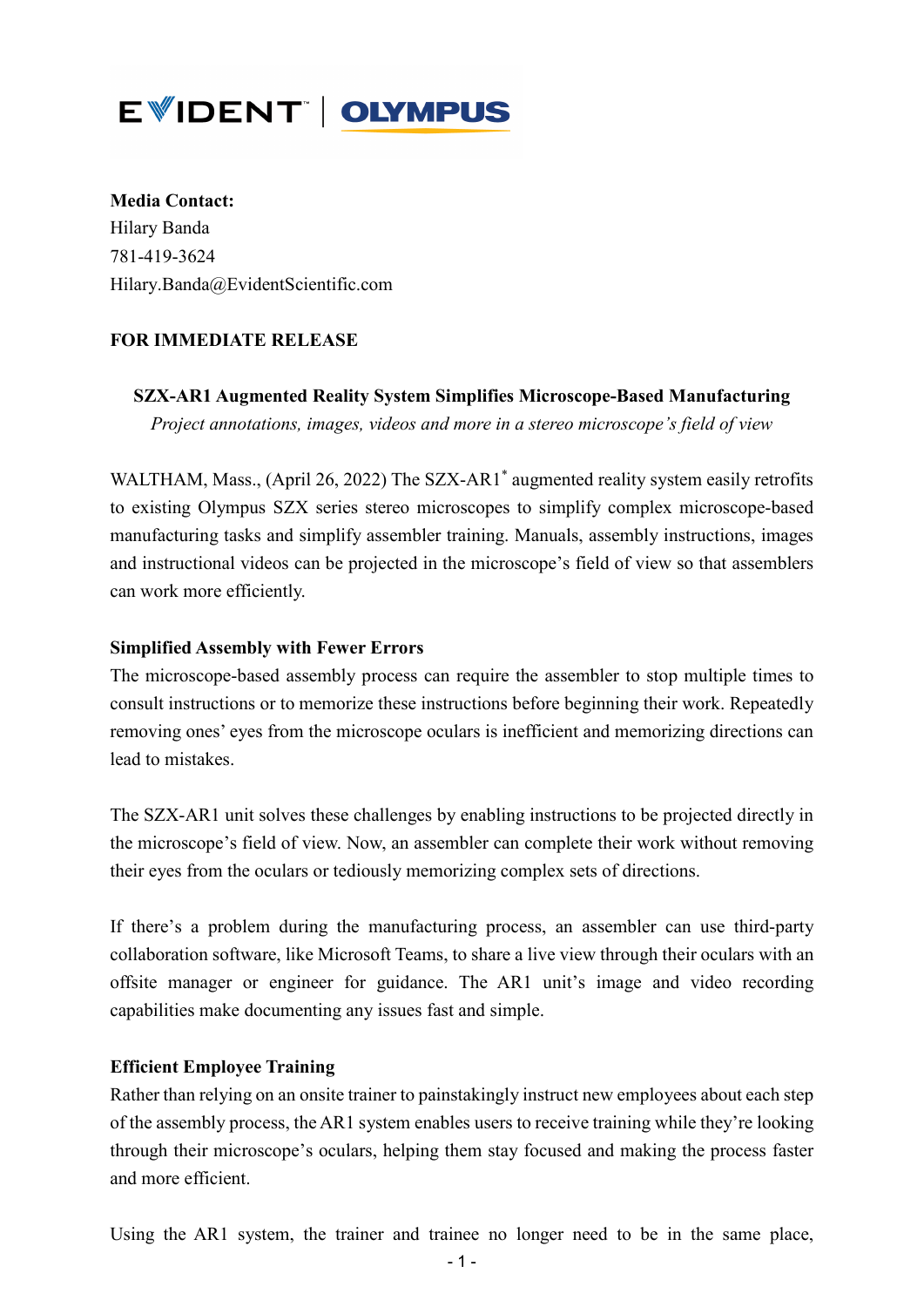# EWIDENT | OLYMPUS

**Media Contact:** Hilary Banda 781-419-3624 Hilary.Banda@EvidentScientific.com

# **FOR IMMEDIATE RELEASE**

**SZX-AR1 Augmented Reality System Simplifies Microscope-Based Manufacturing**  *Project annotations, images, videos and more in a stereo microscope's field of view*

WALTHAM, Mass., (April 26, 2022) The SZX-AR1<sup>\*</sup> augmented reality system easily retrofits to existing Olympus SZX series stereo microscopes to simplify complex microscope-based manufacturing tasks and simplify assembler training. Manuals, assembly instructions, images and instructional videos can be projected in the microscope's field of view so that assemblers can work more efficiently.

### **Simplified Assembly with Fewer Errors**

The microscope-based assembly process can require the assembler to stop multiple times to consult instructions or to memorize these instructions before beginning their work. Repeatedly removing ones' eyes from the microscope oculars is inefficient and memorizing directions can lead to mistakes.

The SZX-AR1 unit solves these challenges by enabling instructions to be projected directly in the microscope's field of view. Now, an assembler can complete their work without removing their eyes from the oculars or tediously memorizing complex sets of directions.

If there's a problem during the manufacturing process, an assembler can use third-party collaboration software, like Microsoft Teams, to share a live view through their oculars with an offsite manager or engineer for guidance. The AR1 unit's image and video recording capabilities make documenting any issues fast and simple.

#### **Efficient Employee Training**

Rather than relying on an onsite trainer to painstakingly instruct new employees about each step of the assembly process, the AR1 system enables users to receive training while they're looking through their microscope's oculars, helping them stay focused and making the process faster and more efficient.

Using the AR1 system, the trainer and trainee no longer need to be in the same place,